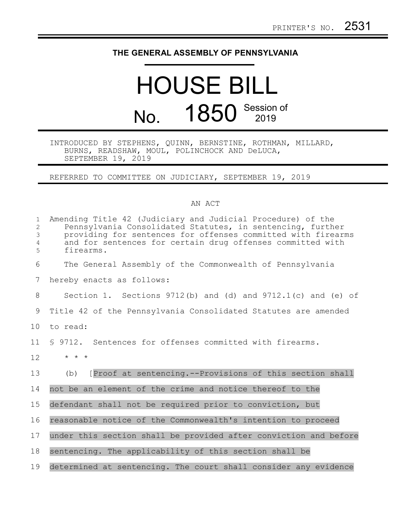## **THE GENERAL ASSEMBLY OF PENNSYLVANIA**

## HOUSE BILL No. 1850 Session of

## INTRODUCED BY STEPHENS, QUINN, BERNSTINE, ROTHMAN, MILLARD, BURNS, READSHAW, MOUL, POLINCHOCK AND DeLUCA, SEPTEMBER 19, 2019

REFERRED TO COMMITTEE ON JUDICIARY, SEPTEMBER 19, 2019

## AN ACT

| $\mathbf{1}$<br>2<br>3<br>$\overline{4}$<br>5 | Amending Title 42 (Judiciary and Judicial Procedure) of the<br>Pennsylvania Consolidated Statutes, in sentencing, further<br>providing for sentences for offenses committed with firearms<br>and for sentences for certain drug offenses committed with<br>firearms. |
|-----------------------------------------------|----------------------------------------------------------------------------------------------------------------------------------------------------------------------------------------------------------------------------------------------------------------------|
| 6                                             | The General Assembly of the Commonwealth of Pennsylvania                                                                                                                                                                                                             |
| 7                                             | hereby enacts as follows:                                                                                                                                                                                                                                            |
| 8                                             | Section 1. Sections $9712(b)$ and (d) and $9712.1(c)$ and (e) of                                                                                                                                                                                                     |
| 9                                             | Title 42 of the Pennsylvania Consolidated Statutes are amended                                                                                                                                                                                                       |
| 10 <sub>o</sub>                               | to read:                                                                                                                                                                                                                                                             |
| 11                                            | \$ 9712. Sentences for offenses committed with firearms.                                                                                                                                                                                                             |
| 12                                            | $\star$ $\star$ $\star$                                                                                                                                                                                                                                              |
| 13                                            | [Proof at sentencing.--Provisions of this section shall<br>(b)                                                                                                                                                                                                       |
| 14                                            | not be an element of the crime and notice thereof to the                                                                                                                                                                                                             |
| 15                                            | defendant shall not be required prior to conviction, but                                                                                                                                                                                                             |
| 16                                            | reasonable notice of the Commonwealth's intention to proceed                                                                                                                                                                                                         |
| 17                                            | under this section shall be provided after conviction and before                                                                                                                                                                                                     |
| 18                                            | sentencing. The applicability of this section shall be                                                                                                                                                                                                               |
| 19                                            | determined at sentencing. The court shall consider any evidence                                                                                                                                                                                                      |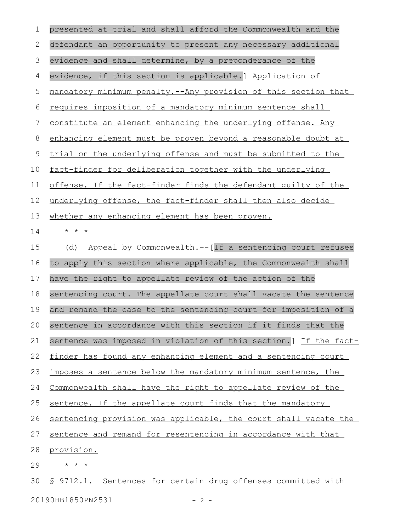| 1  | presented at trial and shall afford the Commonwealth and the     |
|----|------------------------------------------------------------------|
| 2  | defendant an opportunity to present any necessary additional     |
| 3  | evidence and shall determine, by a preponderance of the          |
| 4  | evidence, if this section is applicable.] Application of         |
| 5  | mandatory minimum penalty.--Any provision of this section that   |
| 6  | requires imposition of a mandatory minimum sentence shall        |
| 7  | constitute an element enhancing the underlying offense. Any      |
| 8  | enhancing element must be proven beyond a reasonable doubt at    |
| 9  | trial on the underlying offense and must be submitted to the     |
| 10 | fact-finder for deliberation together with the underlying        |
| 11 | offense. If the fact-finder finds the defendant quilty of the    |
| 12 | underlying offense, the fact-finder shall then also decide       |
| 13 | whether any enhancing element has been proven.                   |
| 14 | $\star$ $\star$ $\star$                                          |
| 15 | Appeal by Commonwealth.--[If a sentencing court refuses<br>(d)   |
| 16 | to apply this section where applicable, the Commonwealth shall   |
| 17 | have the right to appellate review of the action of the          |
| 18 | sentencing court. The appellate court shall vacate the sentence  |
| 19 | and remand the case to the sentencing court for imposition of a  |
| 20 | sentence in accordance with this section if it finds that the    |
| 21 | sentence was imposed in violation of this section.] If the fact- |
| 22 | finder has found any enhancing element and a sentencing court    |
| 23 | imposes a sentence below the mandatory minimum sentence, the     |
| 24 | Commonwealth shall have the right to appellate review of the     |
| 25 | sentence. If the appellate court finds that the mandatory        |
| 26 | sentencing provision was applicable, the court shall vacate the  |
| 27 | sentence and remand for resentencing in accordance with that     |
| 28 | provision.                                                       |
| 29 | $\star$ $\star$ $\star$                                          |
| 30 | \$ 9712.1. Sentences for certain drug offenses committed with    |

20190HB1850PN2531 - 2 -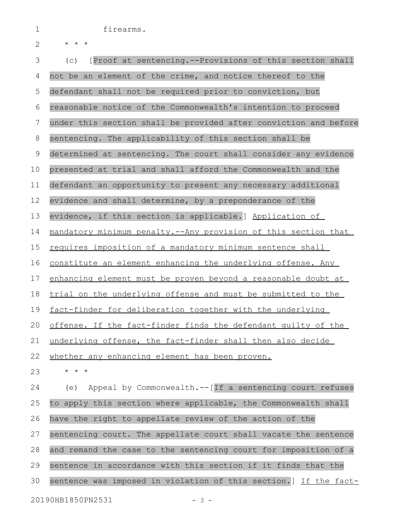firearms.

1

| ⌒<br>╭ | $\star$ | $\star$ |
|--------|---------|---------|
|        |         |         |

\* \* \*

(c) [Proof at sentencing.--Provisions of this section shall not be an element of the crime, and notice thereof to the defendant shall not be required prior to conviction, but reasonable notice of the Commonwealth's intention to proceed under this section shall be provided after conviction and before sentencing. The applicability of this section shall be determined at sentencing. The court shall consider any evidence presented at trial and shall afford the Commonwealth and the defendant an opportunity to present any necessary additional evidence and shall determine, by a preponderance of the evidence, if this section is applicable.] Application of mandatory minimum penalty.--Any provision of this section that requires imposition of a mandatory minimum sentence shall constitute an element enhancing the underlying offense. Any enhancing element must be proven beyond a reasonable doubt at trial on the underlying offense and must be submitted to the fact-finder for deliberation together with the underlying offense. If the fact-finder finds the defendant guilty of the underlying offense, the fact-finder shall then also decide whether any enhancing element has been proven. \* \* \* (e) Appeal by Commonwealth.--[If a sentencing court refuses to apply this section where applicable, the Commonwealth shall have the right to appellate review of the action of the sentencing court. The appellate court shall vacate the sentence and remand the case to the sentencing court for imposition of a sentence in accordance with this section if it finds that the sentence was imposed in violation of this section.] If the fact-3 4 5 6 7 8 9 10 11 12 13 14 15 16 17 18 19 20 21 22 23 24 25 26 27 28 29 30

20190HB1850PN2531 - 3 -